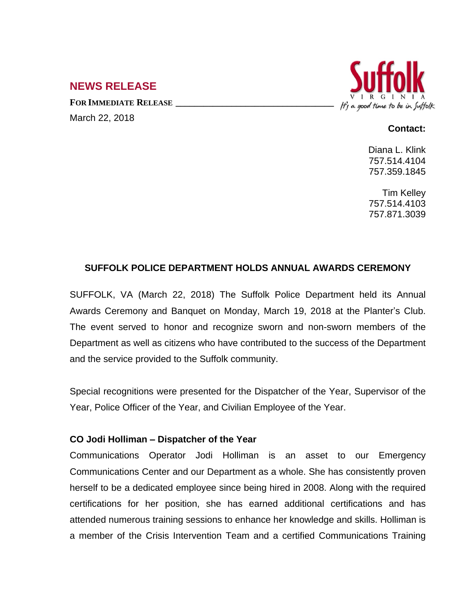# **NEWS RELEASE**

**FOR IMMEDIATE RELEASE \_\_\_\_\_\_\_\_\_\_\_\_\_\_\_\_\_\_\_\_\_\_\_\_\_\_\_\_\_\_\_\_\_\_** March 22, 2018



## **Contact:**

Diana L. Klink 757.514.4104 757.359.1845

Tim Kelley 757.514.4103 757.871.3039

# **SUFFOLK POLICE DEPARTMENT HOLDS ANNUAL AWARDS CEREMONY**

SUFFOLK, VA (March 22, 2018) The Suffolk Police Department held its Annual Awards Ceremony and Banquet on Monday, March 19, 2018 at the Planter's Club. The event served to honor and recognize sworn and non-sworn members of the Department as well as citizens who have contributed to the success of the Department and the service provided to the Suffolk community.

Special recognitions were presented for the Dispatcher of the Year, Supervisor of the Year, Police Officer of the Year, and Civilian Employee of the Year.

# **CO Jodi Holliman – Dispatcher of the Year**

Communications Operator Jodi Holliman is an asset to our Emergency Communications Center and our Department as a whole. She has consistently proven herself to be a dedicated employee since being hired in 2008. Along with the required certifications for her position, she has earned additional certifications and has attended numerous training sessions to enhance her knowledge and skills. Holliman is a member of the Crisis Intervention Team and a certified Communications Training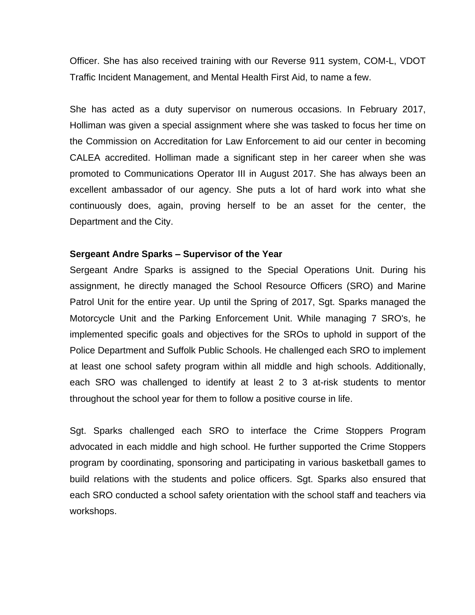Officer. She has also received training with our Reverse 911 system, COM-L, VDOT Traffic Incident Management, and Mental Health First Aid, to name a few.

She has acted as a duty supervisor on numerous occasions. In February 2017, Holliman was given a special assignment where she was tasked to focus her time on the Commission on Accreditation for Law Enforcement to aid our center in becoming CALEA accredited. Holliman made a significant step in her career when she was promoted to Communications Operator III in August 2017. She has always been an excellent ambassador of our agency. She puts a lot of hard work into what she continuously does, again, proving herself to be an asset for the center, the Department and the City.

#### **Sergeant Andre Sparks – Supervisor of the Year**

Sergeant Andre Sparks is assigned to the Special Operations Unit. During his assignment, he directly managed the School Resource Officers (SRO) and Marine Patrol Unit for the entire year. Up until the Spring of 2017, Sgt. Sparks managed the Motorcycle Unit and the Parking Enforcement Unit. While managing 7 SRO's, he implemented specific goals and objectives for the SROs to uphold in support of the Police Department and Suffolk Public Schools. He challenged each SRO to implement at least one school safety program within all middle and high schools. Additionally, each SRO was challenged to identify at least 2 to 3 at-risk students to mentor throughout the school year for them to follow a positive course in life.

Sgt. Sparks challenged each SRO to interface the Crime Stoppers Program advocated in each middle and high school. He further supported the Crime Stoppers program by coordinating, sponsoring and participating in various basketball games to build relations with the students and police officers. Sgt. Sparks also ensured that each SRO conducted a school safety orientation with the school staff and teachers via workshops.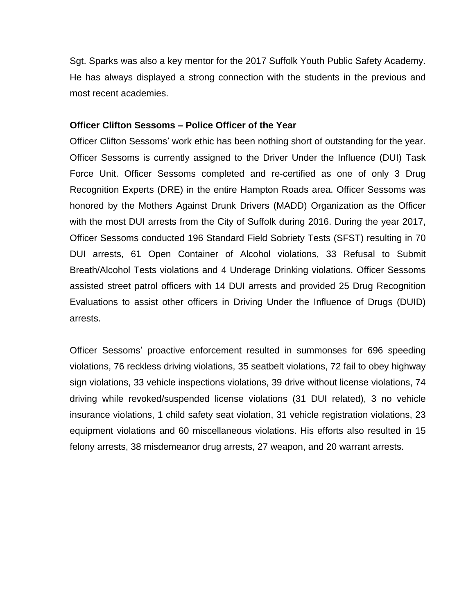Sgt. Sparks was also a key mentor for the 2017 Suffolk Youth Public Safety Academy. He has always displayed a strong connection with the students in the previous and most recent academies.

## **Officer Clifton Sessoms – Police Officer of the Year**

Officer Clifton Sessoms' work ethic has been nothing short of outstanding for the year. Officer Sessoms is currently assigned to the Driver Under the Influence (DUI) Task Force Unit. Officer Sessoms completed and re-certified as one of only 3 Drug Recognition Experts (DRE) in the entire Hampton Roads area. Officer Sessoms was honored by the Mothers Against Drunk Drivers (MADD) Organization as the Officer with the most DUI arrests from the City of Suffolk during 2016. During the year 2017, Officer Sessoms conducted 196 Standard Field Sobriety Tests (SFST) resulting in 70 DUI arrests, 61 Open Container of Alcohol violations, 33 Refusal to Submit Breath/Alcohol Tests violations and 4 Underage Drinking violations. Officer Sessoms assisted street patrol officers with 14 DUI arrests and provided 25 Drug Recognition Evaluations to assist other officers in Driving Under the Influence of Drugs (DUID) arrests.

Officer Sessoms' proactive enforcement resulted in summonses for 696 speeding violations, 76 reckless driving violations, 35 seatbelt violations, 72 fail to obey highway sign violations, 33 vehicle inspections violations, 39 drive without license violations, 74 driving while revoked/suspended license violations (31 DUI related), 3 no vehicle insurance violations, 1 child safety seat violation, 31 vehicle registration violations, 23 equipment violations and 60 miscellaneous violations. His efforts also resulted in 15 felony arrests, 38 misdemeanor drug arrests, 27 weapon, and 20 warrant arrests.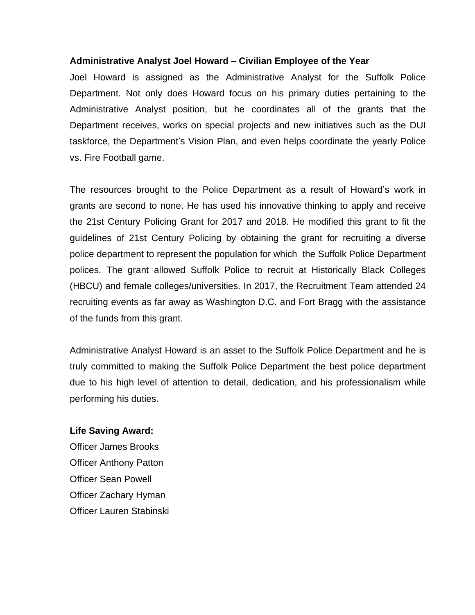## **Administrative Analyst Joel Howard – Civilian Employee of the Year**

Joel Howard is assigned as the Administrative Analyst for the Suffolk Police Department. Not only does Howard focus on his primary duties pertaining to the Administrative Analyst position, but he coordinates all of the grants that the Department receives, works on special projects and new initiatives such as the DUI taskforce, the Department's Vision Plan, and even helps coordinate the yearly Police vs. Fire Football game.

The resources brought to the Police Department as a result of Howard's work in grants are second to none. He has used his innovative thinking to apply and receive the 21st Century Policing Grant for 2017 and 2018. He modified this grant to fit the guidelines of 21st Century Policing by obtaining the grant for recruiting a diverse police department to represent the population for which the Suffolk Police Department polices. The grant allowed Suffolk Police to recruit at Historically Black Colleges (HBCU) and female colleges/universities. In 2017, the Recruitment Team attended 24 recruiting events as far away as Washington D.C. and Fort Bragg with the assistance of the funds from this grant.

Administrative Analyst Howard is an asset to the Suffolk Police Department and he is truly committed to making the Suffolk Police Department the best police department due to his high level of attention to detail, dedication, and his professionalism while performing his duties.

#### **Life Saving Award:**

Officer James Brooks Officer Anthony Patton Officer Sean Powell Officer Zachary Hyman Officer Lauren Stabinski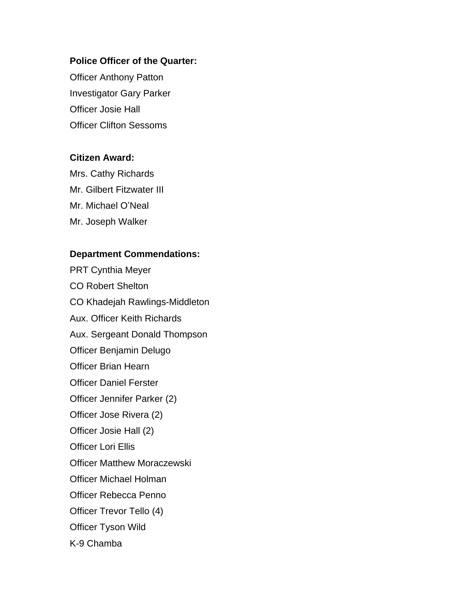# **Police Officer of the Quarter:**

Officer Anthony Patton Investigator Gary Parker Officer Josie Hall Officer Clifton Sessoms

# **Citizen Award:**

Mrs. Cathy Richards Mr. Gilbert Fitzwater III Mr. Michael O'Neal Mr. Joseph Walker

## **Department Commendations:**

PRT Cynthia Meyer CO Robert Shelton CO Khadejah Rawlings-Middleton Aux. Officer Keith Richards Aux. Sergeant Donald Thompson Officer Benjamin Delugo Officer Brian Hearn Officer Daniel Ferster Officer Jennifer Parker (2) Officer Jose Rivera (2) Officer Josie Hall (2) Officer Lori Ellis Officer Matthew Moraczewski Officer Michael Holman Officer Rebecca Penno Officer Trevor Tello (4) Officer Tyson Wild K-9 Chamba